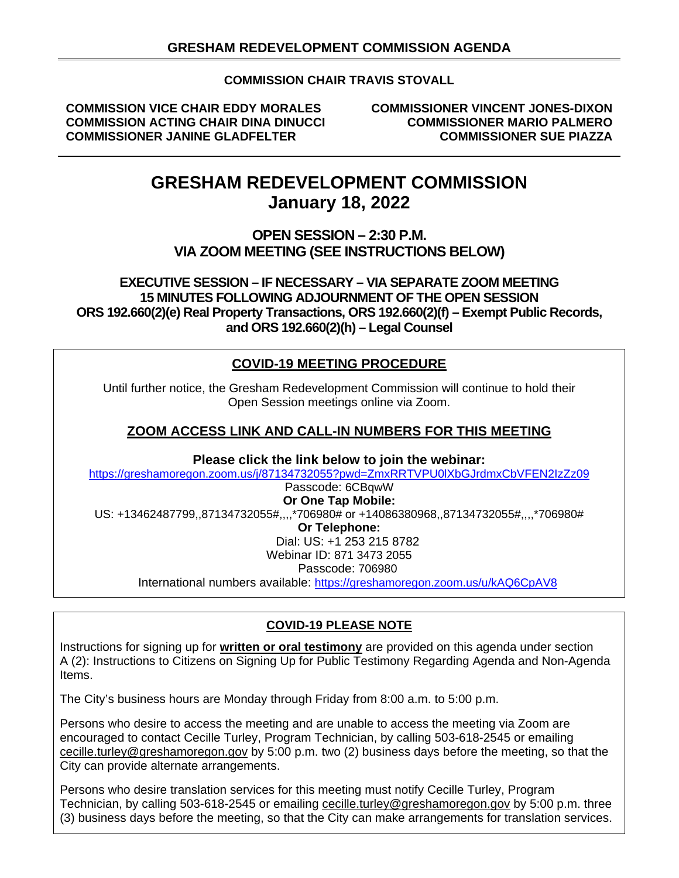# **COMMISSION CHAIR TRAVIS STOVALL**

**COMMISSION VICE CHAIR EDDY MORALES COMMISSIONER VINCENT JONES-DIXON COMMISSION ACTING CHAIR DINA DINUCCI COMMISSIONER MARIO PALMERO COMMISSIONER JANINE GLADFELTER** 

# **GRESHAM REDEVELOPMENT COMMISSION January 18, 2022**

# **OPEN SESSION – 2:30 P.M. VIA ZOOM MEETING (SEE INSTRUCTIONS BELOW)**

**EXECUTIVE SESSION – IF NECESSARY – VIA SEPARATE ZOOM MEETING 15 MINUTES FOLLOWING ADJOURNMENT OF THE OPEN SESSION ORS 192.660(2)(e) Real Property Transactions, ORS 192.660(2)(f) – Exempt Public Records, and ORS 192.660(2)(h) – Legal Counsel** 

# **COVID-19 MEETING PROCEDURE**

Until further notice, the Gresham Redevelopment Commission will continue to hold their Open Session meetings online via Zoom.

# **ZOOM ACCESS LINK AND CALL-IN NUMBERS FOR THIS MEETING**

**Please click the link below to join the webinar:**

<https://greshamoregon.zoom.us/j/87134732055?pwd=ZmxRRTVPU0lXbGJrdmxCbVFEN2IzZz09>

# Passcode: 6CBqwW **Or One Tap Mobile:** US: +13462487799,,87134732055#,,,,\*706980# or +14086380968,,87134732055#,,,,\*706980# **Or Telephone:**  Dial: US: +1 253 215 8782 Webinar ID: 871 3473 2055 Passcode: 706980 International numbers available: <https://greshamoregon.zoom.us/u/kAQ6CpAV8>

# **COVID-19 PLEASE NOTE**

Instructions for signing up for **written or oral testimony** are provided on this agenda under section A (2): Instructions to Citizens on Signing Up for Public Testimony Regarding Agenda and Non-Agenda Items.

The City's business hours are Monday through Friday from 8:00 a.m. to 5:00 p.m.

Persons who desire to access the meeting and are unable to access the meeting via Zoom are encouraged to contact Cecille Turley, Program Technician, by calling 503-618-2545 or emailing [cecille.turley@greshamoregon.gov](mailto:cecille.turley@greshamoregon.gov) by 5:00 p.m. two (2) business days before the meeting, so that the City can provide alternate arrangements.

Persons who desire translation services for this meeting must notify Cecille Turley, Program Technician, by calling 503-618-2545 or emailing [cecille.turley@greshamoregon.gov](mailto:cecille.turley@greshamoregon.gov) by 5:00 p.m. three (3) business days before the meeting, so that the City can make arrangements for translation services.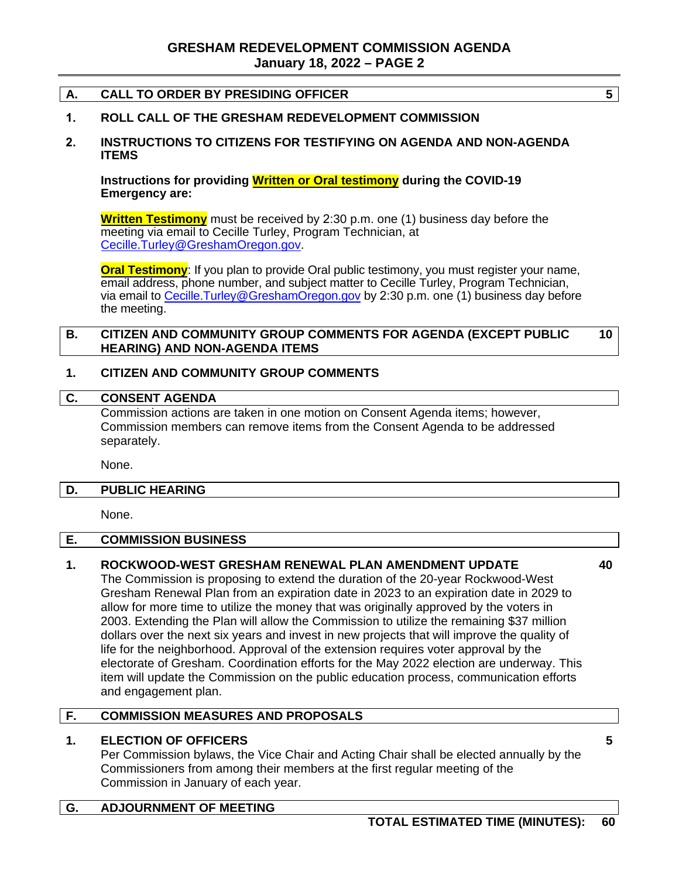# **A. CALL TO ORDER BY PRESIDING OFFICER 5**

# **1. ROLL CALL OF THE GRESHAM REDEVELOPMENT COMMISSION**

# **2. INSTRUCTIONS TO CITIZENS FOR TESTIFYING ON AGENDA AND NON-AGENDA ITEMS**

**Instructions for providing Written or Oral testimony during the COVID-19 Emergency are:**

**Written Testimony** must be received by 2:30 p.m. one (1) business day before the meeting via email to Cecille Turley, Program Technician, at [Cecille.Turley@GreshamOregon.gov.](mailto:Cecille.Turley@GreshamOregon.gov)

**Oral Testimony**: If you plan to provide Oral public testimony, you must register your name, email address, phone number, and subject matter to Cecille Turley, Program Technician, via email to Cecille. Turley@GreshamOregon.gov by 2:30 p.m. one (1) business day before the meeting.

#### **B. CITIZEN AND COMMUNITY GROUP COMMENTS FOR AGENDA (EXCEPT PUBLIC HEARING) AND NON-AGENDA ITEMS 10**

#### **1. CITIZEN AND COMMUNITY GROUP COMMENTS**

#### **C. CONSENT AGENDA**

Commission actions are taken in one motion on Consent Agenda items; however, Commission members can remove items from the Consent Agenda to be addressed separately.

None.

#### **D. PUBLIC HEARING**

None.

#### **E. COMMISSION BUSINESS**

# **1. ROCKWOOD-WEST GRESHAM RENEWAL PLAN AMENDMENT UPDATE**

The Commission is proposing to extend the duration of the 20-year Rockwood-West Gresham Renewal Plan from an expiration date in 2023 to an expiration date in 2029 to allow for more time to utilize the money that was originally approved by the voters in 2003. Extending the Plan will allow the Commission to utilize the remaining \$37 million dollars over the next six years and invest in new projects that will improve the quality of life for the neighborhood. Approval of the extension requires voter approval by the electorate of Gresham. Coordination efforts for the May 2022 election are underway. This item will update the Commission on the public education process, communication efforts and engagement plan.

# **F. COMMISSION MEASURES AND PROPOSALS**

# **1. ELECTION OF OFFICERS**

Per Commission bylaws, the Vice Chair and Acting Chair shall be elected annually by the Commissioners from among their members at the first regular meeting of the Commission in January of each year.

# **G. ADJOURNMENT OF MEETING**

**40**

**5**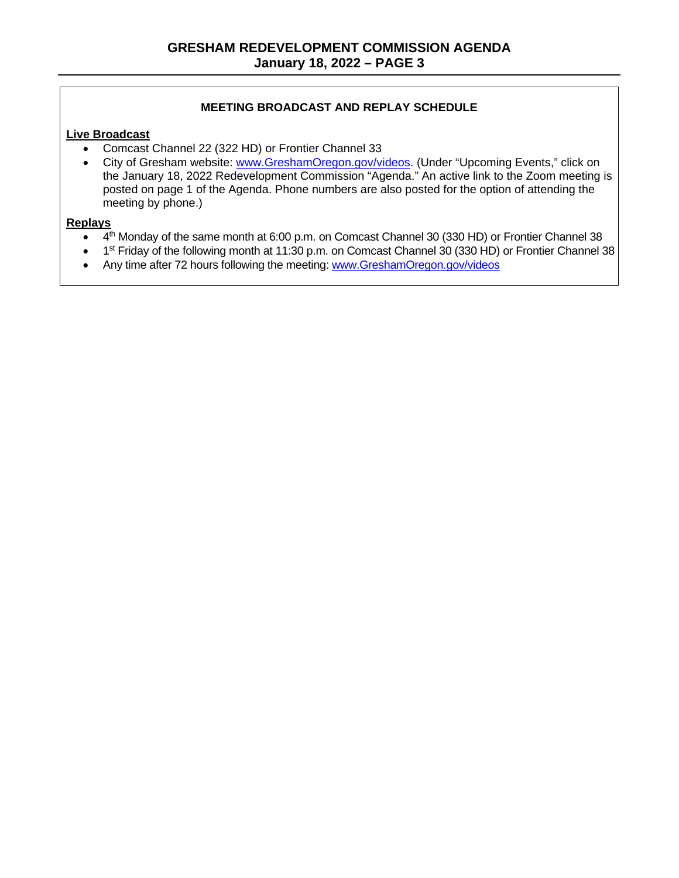# **MEETING BROADCAST AND REPLAY SCHEDULE**

# **Live Broadcast**

- Comcast Channel 22 (322 HD) or Frontier Channel 33
- City of Gresham website: [www.GreshamOregon.gov/videos.](http://www.greshamoregon.gov/videos) (Under "Upcoming Events," click on the January 18, 2022 Redevelopment Commission "Agenda." An active link to the Zoom meeting is posted on page 1 of the Agenda. Phone numbers are also posted for the option of attending the meeting by phone.)

#### **Replays**

- 4<sup>th</sup> Monday of the same month at 6:00 p.m. on Comcast Channel 30 (330 HD) or Frontier Channel 38
- 1<sup>st</sup> Friday of the following month at 11:30 p.m. on Comcast Channel 30 (330 HD) or Frontier Channel 38
- Any time after 72 hours following the meeting: [www.GreshamOregon.gov/videos](http://www.greshamoregon.gov/videos)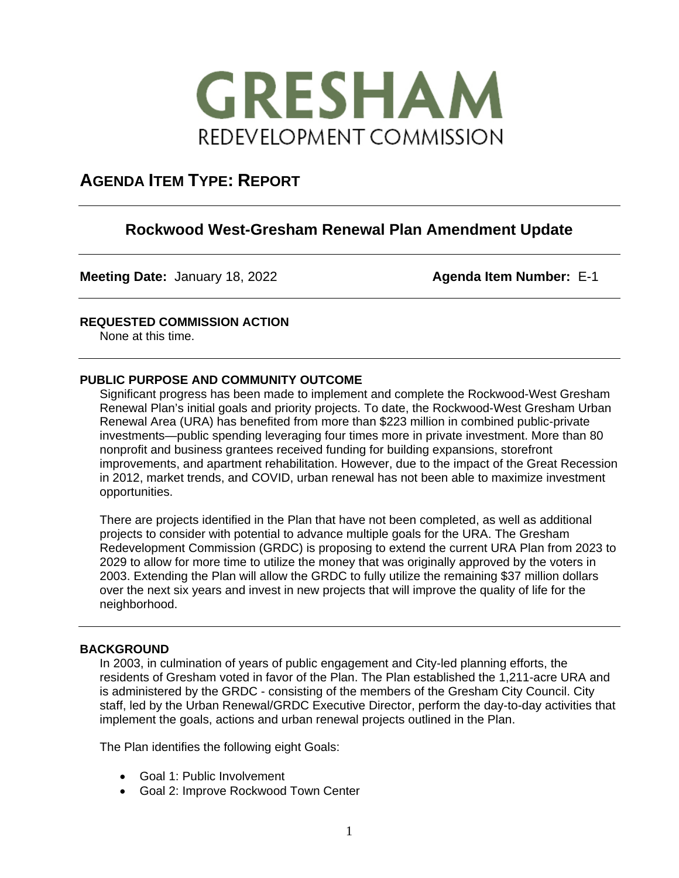

# **AGENDA ITEM TYPE: REPORT**

# **Rockwood West-Gresham Renewal Plan Amendment Update**

**Meeting Date:** January 18, 2022 **Agenda Item Number:** E-1

# **REQUESTED COMMISSION ACTION**

None at this time.

# **PUBLIC PURPOSE AND COMMUNITY OUTCOME**

Significant progress has been made to implement and complete the Rockwood-West Gresham Renewal Plan's initial goals and priority projects. To date, the Rockwood-West Gresham Urban Renewal Area (URA) has benefited from more than \$223 million in combined public-private investments—public spending leveraging four times more in private investment. More than 80 nonprofit and business grantees received funding for building expansions, storefront improvements, and apartment rehabilitation. However, due to the impact of the Great Recession in 2012, market trends, and COVID, urban renewal has not been able to maximize investment opportunities.

There are projects identified in the Plan that have not been completed, as well as additional projects to consider with potential to advance multiple goals for the URA. The Gresham Redevelopment Commission (GRDC) is proposing to extend the current URA Plan from 2023 to 2029 to allow for more time to utilize the money that was originally approved by the voters in 2003. Extending the Plan will allow the GRDC to fully utilize the remaining \$37 million dollars over the next six years and invest in new projects that will improve the quality of life for the neighborhood.

### **BACKGROUND**

In 2003, in culmination of years of public engagement and City-led planning efforts, the residents of Gresham voted in favor of the Plan. The Plan established the 1,211-acre URA and is administered by the GRDC - consisting of the members of the Gresham City Council. City staff, led by the Urban Renewal/GRDC Executive Director, perform the day-to-day activities that implement the goals, actions and urban renewal projects outlined in the Plan.

The Plan identifies the following eight Goals:

- Goal 1: Public Involvement
- Goal 2: Improve Rockwood Town Center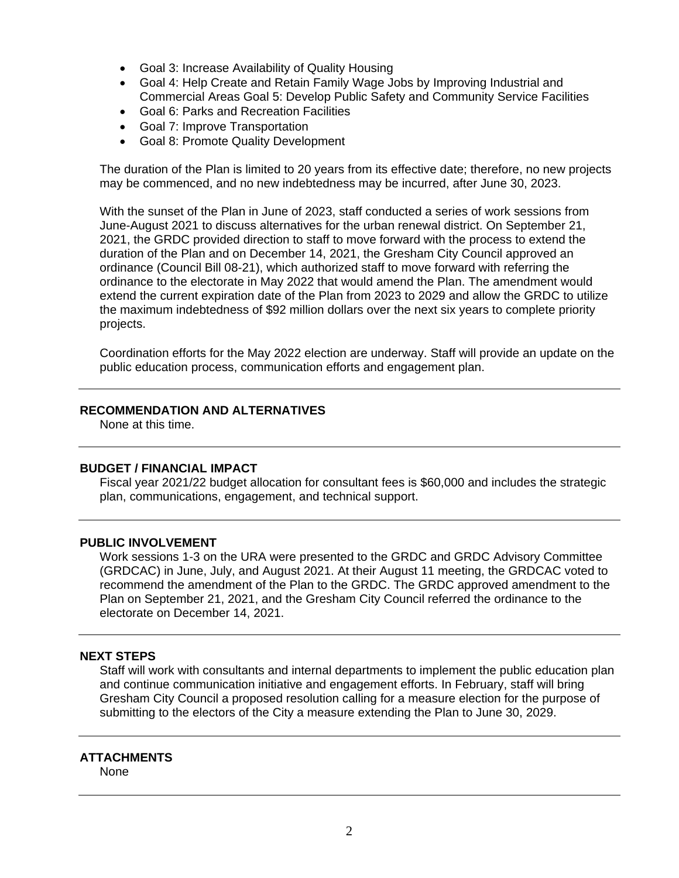- Goal 3: Increase Availability of Quality Housing
- Goal 4: Help Create and Retain Family Wage Jobs by Improving Industrial and Commercial Areas Goal 5: Develop Public Safety and Community Service Facilities
- Goal 6: Parks and Recreation Facilities
- Goal 7: Improve Transportation
- Goal 8: Promote Quality Development

The duration of the Plan is limited to 20 years from its effective date; therefore, no new projects may be commenced, and no new indebtedness may be incurred, after June 30, 2023.

With the sunset of the Plan in June of 2023, staff conducted a series of work sessions from June-August 2021 to discuss alternatives for the urban renewal district. On September 21, 2021, the GRDC provided direction to staff to move forward with the process to extend the duration of the Plan and on December 14, 2021, the Gresham City Council approved an ordinance (Council Bill 08-21), which authorized staff to move forward with referring the ordinance to the electorate in May 2022 that would amend the Plan. The amendment would extend the current expiration date of the Plan from 2023 to 2029 and allow the GRDC to utilize the maximum indebtedness of \$92 million dollars over the next six years to complete priority projects.

Coordination efforts for the May 2022 election are underway. Staff will provide an update on the public education process, communication efforts and engagement plan.

# **RECOMMENDATION AND ALTERNATIVES**

None at this time.

### **BUDGET / FINANCIAL IMPACT**

Fiscal year 2021/22 budget allocation for consultant fees is \$60,000 and includes the strategic plan, communications, engagement, and technical support.

# **PUBLIC INVOLVEMENT**

Work sessions 1-3 on the URA were presented to the GRDC and GRDC Advisory Committee (GRDCAC) in June, July, and August 2021. At their August 11 meeting, the GRDCAC voted to recommend the amendment of the Plan to the GRDC. The GRDC approved amendment to the Plan on September 21, 2021, and the Gresham City Council referred the ordinance to the electorate on December 14, 2021.

### **NEXT STEPS**

Staff will work with consultants and internal departments to implement the public education plan and continue communication initiative and engagement efforts. In February, staff will bring Gresham City Council a proposed resolution calling for a measure election for the purpose of submitting to the electors of the City a measure extending the Plan to June 30, 2029.

# **ATTACHMENTS**

None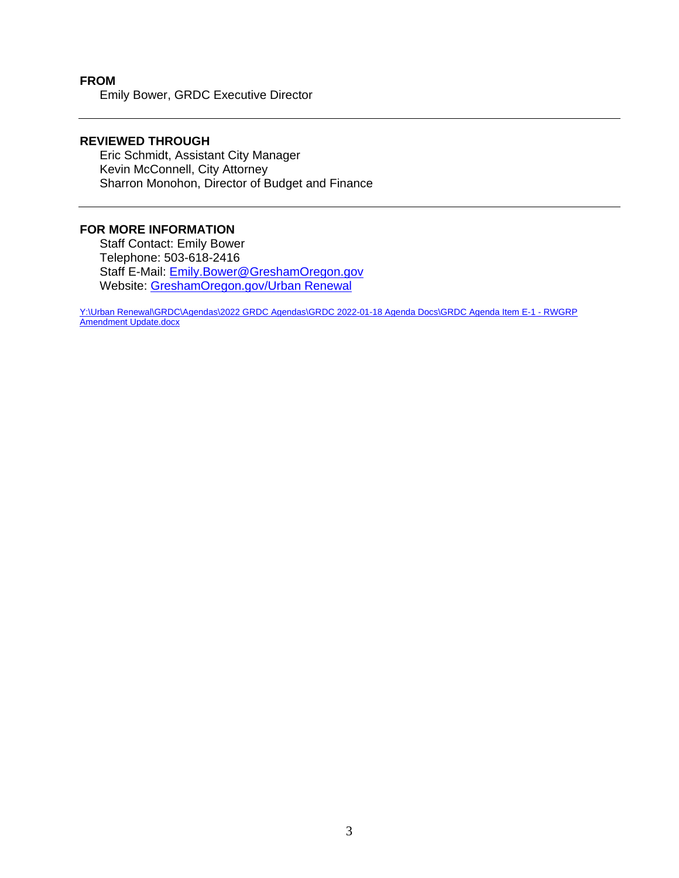### **FROM** Emily Bower, GRDC Executive Director

# **REVIEWED THROUGH**

Eric Schmidt, Assistant City Manager Kevin McConnell, City Attorney Sharron Monohon, Director of Budget and Finance

# **FOR MORE INFORMATION**

Staff Contact: Emily Bower Telephone: 503-618-2416 Staff E-Mail: [Emily.Bower@GreshamOregon.gov](mailto:Emily.Bower@GreshamOregon.gov) Website: [GreshamOregon.gov/Urban Renewal](https://greshamoregon.gov/Urban-Renewal)

[Y:\Urban Renewal\GRDC\Agendas\2022 GRDC Agendas\GRDC 2022-01-18 Agenda Docs\GRDC Agenda Item E-1 -](file://gresham.gov/cog/Urban%20Renewal/GRDC/Agendas/2022%20GRDC%20Agendas/GRDC%202022-01-18%20Agenda%20Docs/GRDC%20Agenda%20Item%20E-1%20-%20RWGRP%20Amendment%20Update.docx) RWGRP [Amendment Update.docx](file://gresham.gov/cog/Urban%20Renewal/GRDC/Agendas/2022%20GRDC%20Agendas/GRDC%202022-01-18%20Agenda%20Docs/GRDC%20Agenda%20Item%20E-1%20-%20RWGRP%20Amendment%20Update.docx)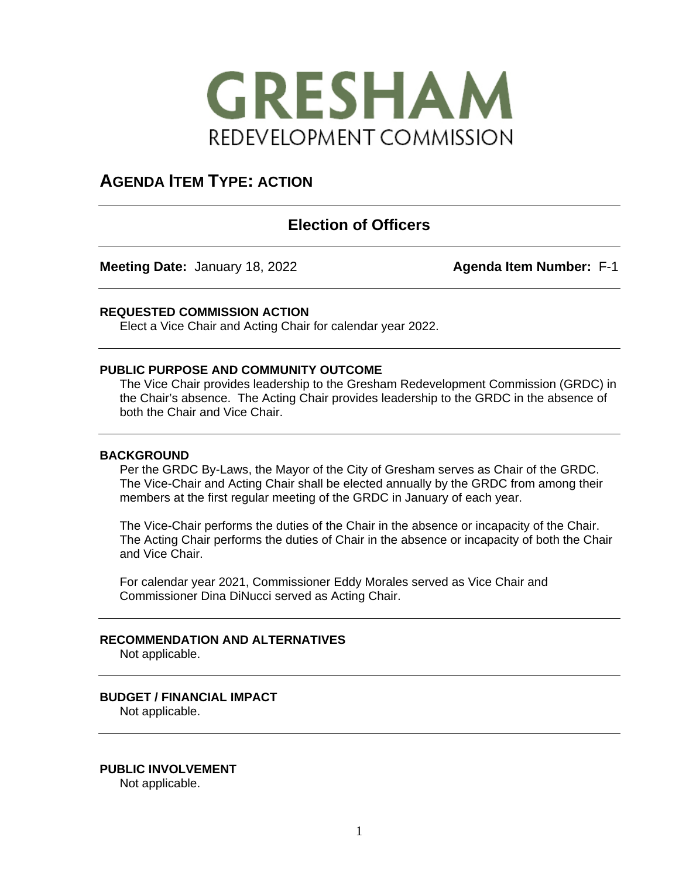

# **AGENDA ITEM TYPE: ACTION**

# **Election of Officers**

**Meeting Date:** January 18, 2022 **Agenda Item Number:** F-1

### **REQUESTED COMMISSION ACTION**

Elect a Vice Chair and Acting Chair for calendar year 2022.

### **PUBLIC PURPOSE AND COMMUNITY OUTCOME**

The Vice Chair provides leadership to the Gresham Redevelopment Commission (GRDC) in the Chair's absence. The Acting Chair provides leadership to the GRDC in the absence of both the Chair and Vice Chair.

### **BACKGROUND**

Per the GRDC By-Laws, the Mayor of the City of Gresham serves as Chair of the GRDC. The Vice-Chair and Acting Chair shall be elected annually by the GRDC from among their members at the first regular meeting of the GRDC in January of each year.

The Vice-Chair performs the duties of the Chair in the absence or incapacity of the Chair. The Acting Chair performs the duties of Chair in the absence or incapacity of both the Chair and Vice Chair.

For calendar year 2021, Commissioner Eddy Morales served as Vice Chair and Commissioner Dina DiNucci served as Acting Chair.

# **RECOMMENDATION AND ALTERNATIVES**

Not applicable.

# **BUDGET / FINANCIAL IMPACT**

Not applicable.

**PUBLIC INVOLVEMENT** Not applicable.